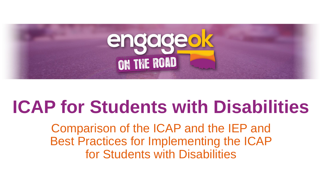

# **ICAP for Students with Disabilities**

Comparison of the ICAP and the IEP and Best Practices for Implementing the ICAP for Students with Disabilities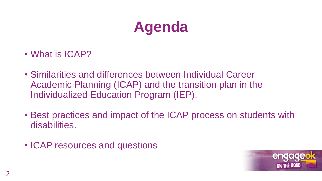# **Agenda**

- What is ICAP?
- Similarities and differences between Individual Career Academic Planning (ICAP) and the transition plan in the Individualized Education Program (IEP).
- Best practices and impact of the ICAP process on students with disabilities.
- ICAP resources and questions

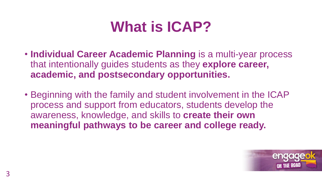## **What is ICAP?**

- **Individual Career Academic Planning** is a multi-year process that intentionally guides students as they **explore career, academic, and postsecondary opportunities.**
- Beginning with the family and student involvement in the ICAP process and support from educators, students develop the awareness, knowledge, and skills to **create their own meaningful pathways to be career and college ready.**

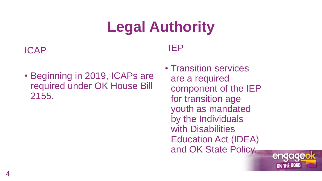# **Legal Authority**

#### ICAP

#### IEP

- Beginning in 2019, ICAPs are required under OK House Bill 2155.
- Transition services are a required component of the IEP for transition age youth as mandated by the Individuals with Disabilities Education Act (IDEA) and OK State Policy.

engageo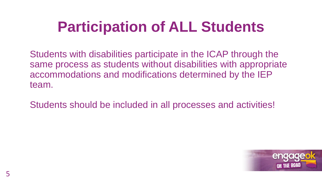# **Participation of ALL Students**

Students with disabilities participate in the ICAP through the same process as students without disabilities with appropriate accommodations and modifications determined by the IEP team.

Students should be included in all processes and activities!

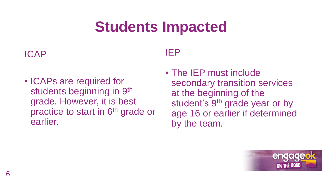# **Students Impacted**

#### ICAP

• ICAPs are required for students beginning in 9<sup>th</sup> grade. However, it is best practice to start in 6<sup>th</sup> grade or earlier.

### IEP

• The IEP must include secondary transition services at the beginning of the student's 9<sup>th</sup> grade year or by age 16 or earlier if determined by the team.

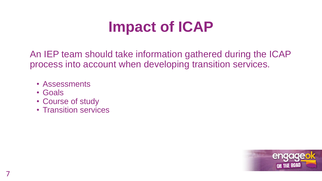## **Impact of ICAP**

An IEP team should take information gathered during the ICAP process into account when developing transition services.

- Assessments
- Goals
- Course of study
- Transition services

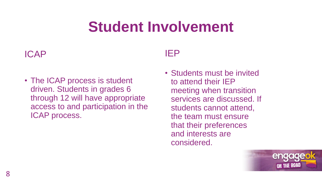## **Student Involvement**

#### ICAP

• The ICAP process is student driven. Students in grades 6 through 12 will have appropriate access to and participation in the ICAP process.

### IEP

• Students must be invited to attend their IEP meeting when transition services are discussed. If students cannot attend, the team must ensure that their preferences and interests are considered.

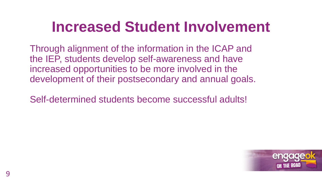## **Increased Student Involvement**

Through alignment of the information in the ICAP and the IEP, students develop self-awareness and have increased opportunities to be more involved in the development of their postsecondary and annual goals.

Self-determined students become successful adults!

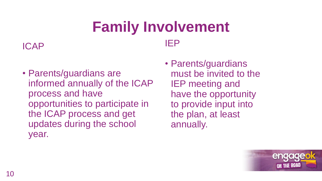### **Family Involvement** IEP

ICAP

- Parents/guardians are informed annually of the ICAP process and have opportunities to participate in the ICAP process and get updates during the school year.
- Parents/guardians must be invited to the IEP meeting and have the opportunity to provide input into the plan, at least annually.

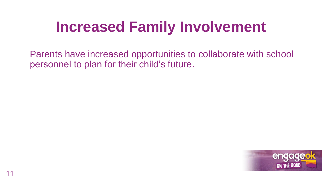## **Increased Family Involvement**

Parents have increased opportunities to collaborate with school personnel to plan for their child's future.

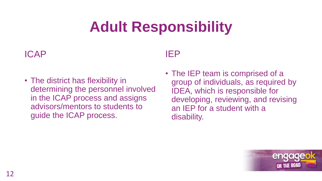# **Adult Responsibility**

#### ICAP

• The district has flexibility in determining the personnel involved in the ICAP process and assigns advisors/mentors to students to guide the ICAP process.

### IEP

• The IEP team is comprised of a group of individuals, as required by IDEA, which is responsible for developing, reviewing, and revising an IEP for a student with a disability.

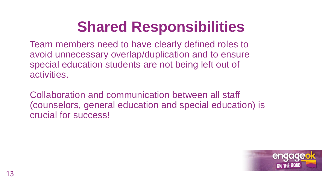# **Shared Responsibilities**

Team members need to have clearly defined roles to avoid unnecessary overlap/duplication and to ensure special education students are not being left out of activities.

Collaboration and communication between all staff (counselors, general education and special education) is crucial for success!

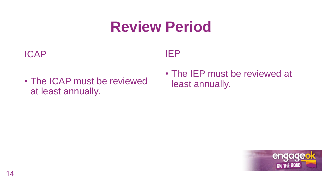## **Review Period**

#### ICAP

### IEP

- The ICAP must be reviewed at least annually.
- The IEP must be reviewed at least annually.

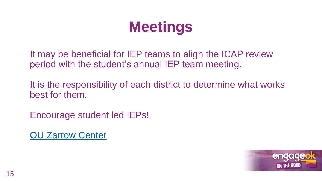# **Meetings**

It may be beneficial for IEP teams to align the ICAP review period with the student's annual IEP team meeting.

It is the responsibility of each district to determine what works best for them.

Encourage student led IEPs!

[OU Zarrow](http://www.ou.edu/education/centers-and-partnerships/zarrow/oklahoma-transition-council/2018-oti-presentations-and-handouts) Center

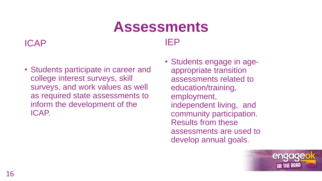### **Assessments** IEP

#### ICAP

- Students participate in career and college interest surveys, skill surveys, and work values as well as required state assessments to inform the development of the ICAP.
- Students engage in ageappropriate transition assessments related to education/training, employment, independent living, and community participation. Results from these assessments are used to develop annual goals.

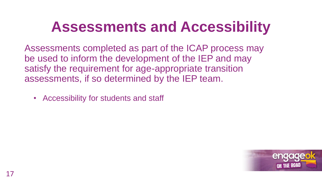## **Assessments and Accessibility**

Assessments completed as part of the ICAP process may be used to inform the development of the IEP and may satisfy the requirement for age-appropriate transition assessments, if so determined by the IEP team.

• Accessibility for students and staff

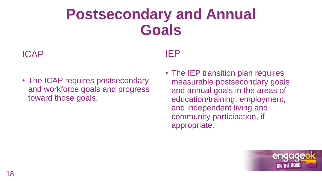## **Postsecondary and Annual Goals**

#### ICAP

• The ICAP requires postsecondary and workforce goals and progress toward those goals.

#### IEP

• The IEP transition plan requires measurable postsecondary goals and annual goals in the areas of education/training, employment, and independent living and community participation, if appropriate.

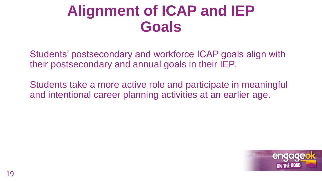## **Alignment of ICAP and IEP Goals**

Students' postsecondary and workforce ICAP goals align with their postsecondary and annual goals in their IEP.

Students take a more active role and participate in meaningful and intentional career planning activities at an earlier age.

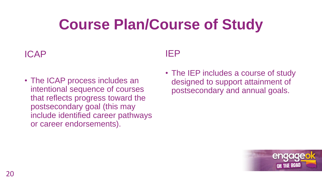# **Course Plan/Course of Study**

#### ICAP

• The ICAP process includes an intentional sequence of courses that reflects progress toward the postsecondary goal (this may include identified career pathways or career endorsements).

#### IEP

• The IEP includes a course of study designed to support attainment of postsecondary and annual goals.

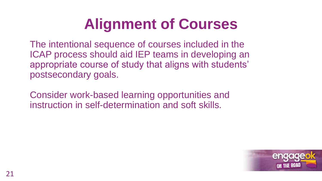# **Alignment of Courses**

The intentional sequence of courses included in the ICAP process should aid IEP teams in developing an appropriate course of study that aligns with students' postsecondary goals.

Consider work-based learning opportunities and instruction in self-determination and soft skills.

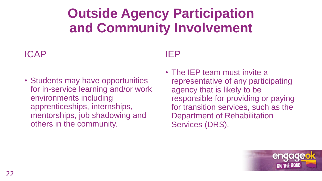### **Outside Agency Participation and Community Involvement**

#### ICAP

• Students may have opportunities for in-service learning and/or work environments including apprenticeships, internships, mentorships, job shadowing and others in the community.

### IEP

• The IEP team must invite a representative of any participating agency that is likely to be responsible for providing or paying for transition services, such as the Department of Rehabilitation Services (DRS).

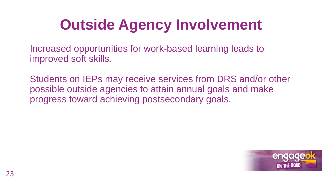# **Outside Agency Involvement**

Increased opportunities for work-based learning leads to improved soft skills.

Students on IEPs may receive services from DRS and/or other possible outside agencies to attain annual goals and make progress toward achieving postsecondary goals.

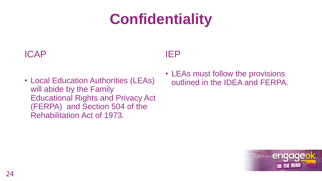# **Confidentiality**

#### ICAP

#### IEP

- Local Education Authorities (LEAs) will abide by the Family Educational Rights and Privacy Act (FERPA) and Section 504 of the Rehabilitation Act of 1973.
- LEAs must follow the provisions outlined in the IDEA and FERPA.

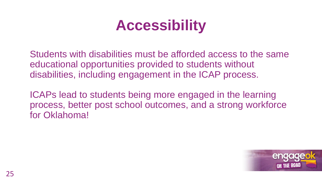## **Accessibility**

Students with disabilities must be afforded access to the same educational opportunities provided to students without disabilities, including engagement in the ICAP process.

ICAPs lead to students being more engaged in the learning process, better post school outcomes, and a strong workforce for Oklahoma!

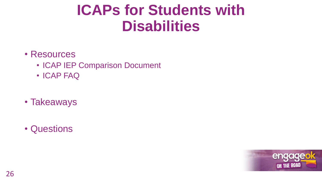## **ICAPs for Students with Disabilities**

#### • Resources

- ICAP IEP Comparison Document
- ICAP FAQ
- Takeaways
- Questions

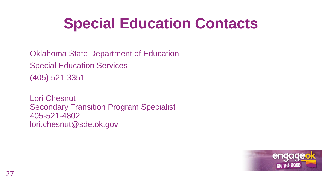# **Special Education Contacts**

Oklahoma State Department of Education Special Education Services (405) 521-3351

Lori Chesnut Secondary Transition Program Specialist 405-521-4802 lori.chesnut@sde.ok.gov

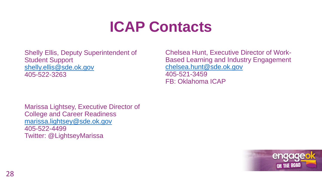## **ICAP Contacts**

Shelly Ellis, Deputy Superintendent of Student Support [shelly.ellis@sde.ok.gov](mailto:shelly.ellis@sde.ok.gov) 405-522-3263

Chelsea Hunt, Executive Director of Work-Based Learning and Industry Engagement [chelsea.hunt@sde.ok.gov](mailto:chelsea.hunt@sde.ok.gov) 405-521-3459 FB: Oklahoma ICAP

Marissa Lightsey, Executive Director of College and Career Readiness [marissa.lightsey@sde.ok.gov](mailto:marissa.lightsey@sde.ok.gov) 405-522-4499 Twitter: @LightseyMarissa